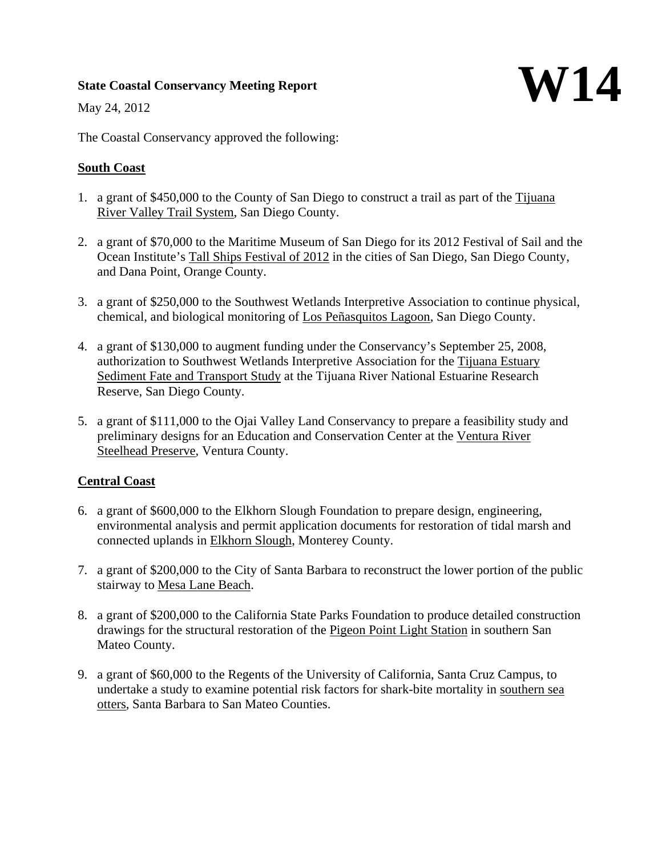# **State Coastal Conservancy Meeting Report**



May 24, 2012

The Coastal Conservancy approved the following:

#### **South Coast**

- 1. a grant of \$450,000 to the County of San Diego to construct a trail as part of the Tijuana River Valley Trail System, San Diego County.
- 2. a grant of \$70,000 to the Maritime Museum of San Diego for its 2012 Festival of Sail and the Ocean Institute's Tall Ships Festival of 2012 in the cities of San Diego, San Diego County, and Dana Point, Orange County.
- 3. a grant of \$250,000 to the Southwest Wetlands Interpretive Association to continue physical, chemical, and biological monitoring of Los Peñasquitos Lagoon, San Diego County.
- 4. a grant of \$130,000 to augment funding under the Conservancy's September 25, 2008, authorization to Southwest Wetlands Interpretive Association for the Tijuana Estuary Sediment Fate and Transport Study at the Tijuana River National Estuarine Research Reserve, San Diego County.
- 5. a grant of \$111,000 to the Ojai Valley Land Conservancy to prepare a feasibility study and preliminary designs for an Education and Conservation Center at the Ventura River Steelhead Preserve, Ventura County.

# **Central Coast**

- 6. a grant of \$600,000 to the Elkhorn Slough Foundation to prepare design, engineering, environmental analysis and permit application documents for restoration of tidal marsh and connected uplands in Elkhorn Slough, Monterey County.
- 7. a grant of \$200,000 to the City of Santa Barbara to reconstruct the lower portion of the public stairway to Mesa Lane Beach.
- 8. a grant of \$200,000 to the California State Parks Foundation to produce detailed construction drawings for the structural restoration of the Pigeon Point Light Station in southern San Mateo County.
- 9. a grant of \$60,000 to the Regents of the University of California, Santa Cruz Campus, to undertake a study to examine potential risk factors for shark-bite mortality in southern sea otters, Santa Barbara to San Mateo Counties.